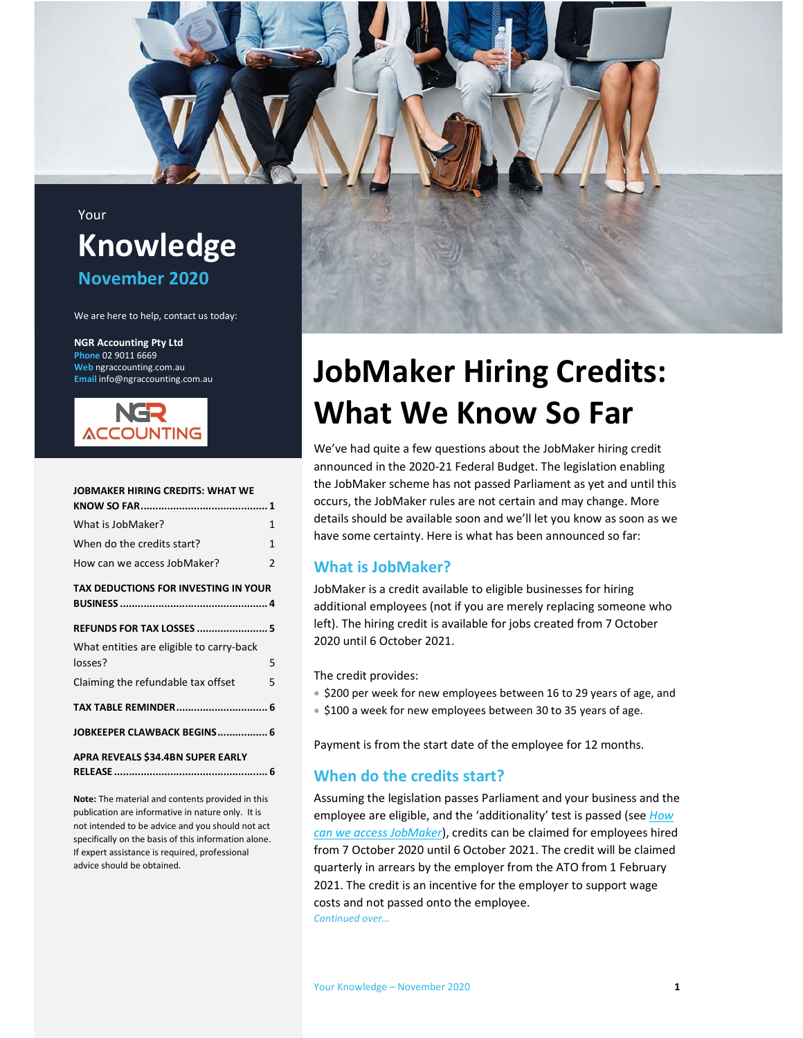## Your Knowledge November 2020

We are here to help, contact us today:

NGR Accounting Pty Ltd Phone 02 9011 6669 Web ngraccounting.com.au Email info@ngraccounting.com.au



| <b>JOBMAKER HIRING CREDITS: WHAT WE</b>             |   |
|-----------------------------------------------------|---|
|                                                     |   |
| What is JobMaker?                                   | 1 |
| When do the credits start?                          | 1 |
| How can we access JobMaker?                         | 2 |
| <b>TAX DEDUCTIONS FOR INVESTING IN YOUR</b>         |   |
| <b>REFUNDS FOR TAX LOSSES  5</b>                    |   |
| What entities are eligible to carry-back<br>losses? | 5 |
| Claiming the refundable tax offset                  | 5 |
| TAX TABLE REMINDER 6                                |   |
| JOBKEEPER CLAWBACK BEGINS 6                         |   |
| APRA REVEALS \$34.4BN SUPER EARLY                   |   |

Note: The material and contents provided in this publication are informative in nature only. It is not intended to be advice and you should not act specifically on the basis of this information alone. If expert assistance is required, professional advice should be obtained.



## JobMaker Hiring Credits: What We Know So Far

We've had quite a few questions about the JobMaker hiring credit announced in the 2020-21 Federal Budget. The legislation enabling the JobMaker scheme has not passed Parliament as yet and until this occurs, the JobMaker rules are not certain and may change. More details should be available soon and we'll let you know as soon as we have some certainty. Here is what has been announced so far:

## What is JobMaker?

JobMaker is a credit available to eligible businesses for hiring additional employees (not if you are merely replacing someone who left). The hiring credit is available for jobs created from 7 October 2020 until 6 October 2021.

The credit provides:

- \$200 per week for new employees between 16 to 29 years of age, and
- \$100 a week for new employees between 30 to 35 years of age.

Payment is from the start date of the employee for 12 months.

#### When do the credits start?

Assuming the legislation passes Parliament and your business and the employee are eligible, and the 'additionality' test is passed (see How can we access JobMaker), credits can be claimed for employees hired from 7 October 2020 until 6 October 2021. The credit will be claimed quarterly in arrears by the employer from the ATO from 1 February 2021. The credit is an incentive for the employer to support wage costs and not passed onto the employee. Continued over…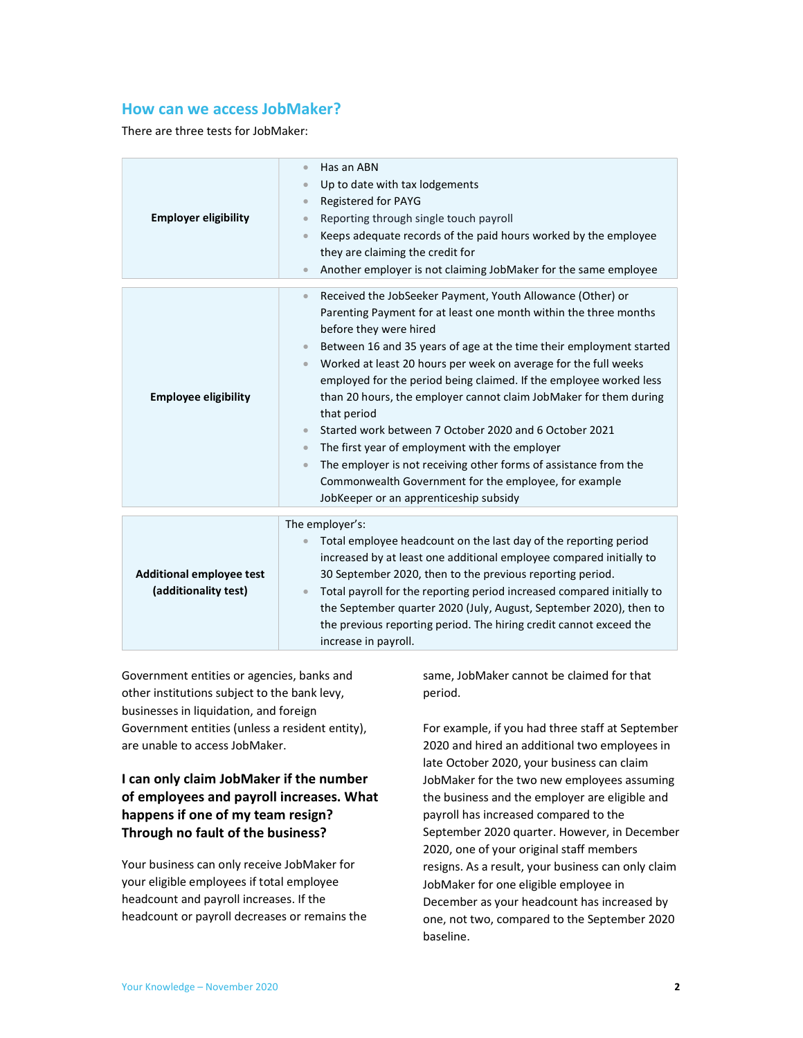#### How can we access JobMaker?

There are three tests for JobMaker:

| <b>Employer eligibility</b>                             | Has an ABN<br>$\bullet$<br>Up to date with tax lodgements<br>$\bullet$<br>Registered for PAYG<br>$\bullet$<br>Reporting through single touch payroll<br>$\bullet$<br>Keeps adequate records of the paid hours worked by the employee<br>$\bullet$<br>they are claiming the credit for<br>Another employer is not claiming JobMaker for the same employee<br>$\bullet$                                                                                                                                                                                                                                                                                                                                                                                                                                            |
|---------------------------------------------------------|------------------------------------------------------------------------------------------------------------------------------------------------------------------------------------------------------------------------------------------------------------------------------------------------------------------------------------------------------------------------------------------------------------------------------------------------------------------------------------------------------------------------------------------------------------------------------------------------------------------------------------------------------------------------------------------------------------------------------------------------------------------------------------------------------------------|
| <b>Employee eligibility</b>                             | Received the JobSeeker Payment, Youth Allowance (Other) or<br>$\bullet$<br>Parenting Payment for at least one month within the three months<br>before they were hired<br>Between 16 and 35 years of age at the time their employment started<br>Worked at least 20 hours per week on average for the full weeks<br>$\bullet$<br>employed for the period being claimed. If the employee worked less<br>than 20 hours, the employer cannot claim JobMaker for them during<br>that period<br>Started work between 7 October 2020 and 6 October 2021<br>$\bullet$<br>The first year of employment with the employer<br>$\bullet$<br>The employer is not receiving other forms of assistance from the<br>$\bullet$<br>Commonwealth Government for the employee, for example<br>JobKeeper or an apprenticeship subsidy |
| <b>Additional employee test</b><br>(additionality test) | The employer's:<br>Total employee headcount on the last day of the reporting period<br>$\bullet$<br>increased by at least one additional employee compared initially to<br>30 September 2020, then to the previous reporting period.<br>Total payroll for the reporting period increased compared initially to<br>$\bullet$<br>the September quarter 2020 (July, August, September 2020), then to<br>the previous reporting period. The hiring credit cannot exceed the<br>increase in payroll.                                                                                                                                                                                                                                                                                                                  |

Government entities or agencies, banks and other institutions subject to the bank levy, businesses in liquidation, and foreign Government entities (unless a resident entity), are unable to access JobMaker.

### I can only claim JobMaker if the number of employees and payroll increases. What happens if one of my team resign? Through no fault of the business?

Your business can only receive JobMaker for your eligible employees if total employee headcount and payroll increases. If the headcount or payroll decreases or remains the same, JobMaker cannot be claimed for that period.

For example, if you had three staff at September 2020 and hired an additional two employees in late October 2020, your business can claim JobMaker for the two new employees assuming the business and the employer are eligible and payroll has increased compared to the September 2020 quarter. However, in December 2020, one of your original staff members resigns. As a result, your business can only claim JobMaker for one eligible employee in December as your headcount has increased by one, not two, compared to the September 2020 baseline.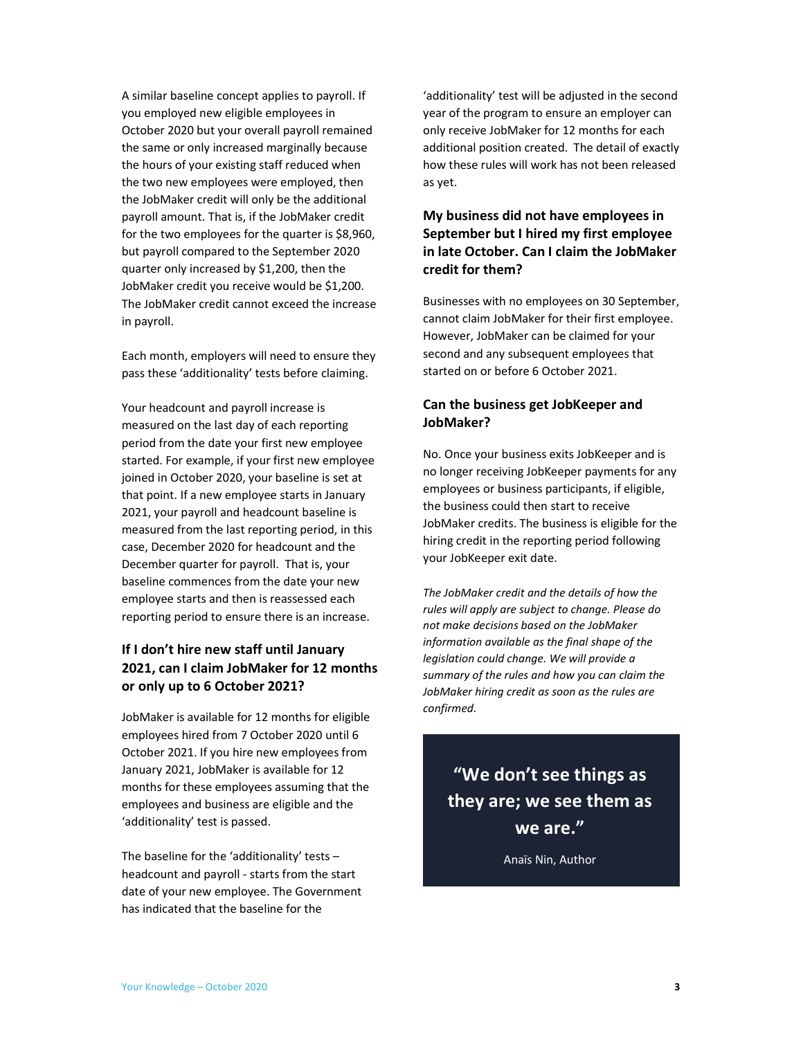A similar baseline concept applies to payroll. If you employed new eligible employees in October 2020 but your overall payroll remained the same or only increased marginally because the hours of your existing staff reduced when the two new employees were employed, then the JobMaker credit will only be the additional payroll amount. That is, if the JobMaker credit for the two employees for the quarter is \$8,960, but payroll compared to the September 2020 quarter only increased by \$1,200, then the JobMaker credit you receive would be \$1,200. The JobMaker credit cannot exceed the increase in payroll.

Each month, employers will need to ensure they pass these 'additionality' tests before claiming.

Your headcount and payroll increase is measured on the last day of each reporting period from the date your first new employee started. For example, if your first new employee joined in October 2020, your baseline is set at that point. If a new employee starts in January 2021, your payroll and headcount baseline is measured from the last reporting period, in this case, December 2020 for headcount and the December quarter for payroll. That is, your baseline commences from the date your new employee starts and then is reassessed each reporting period to ensure there is an increase.

### If I don't hire new staff until January 2021, can I claim JobMaker for 12 months or only up to 6 October 2021?

JobMaker is available for 12 months for eligible employees hired from 7 October 2020 until 6 October 2021. If you hire new employees from January 2021, JobMaker is available for 12 months for these employees assuming that the employees and business are eligible and the 'additionality' test is passed.

The baseline for the 'additionality' tests – headcount and payroll - starts from the start date of your new employee. The Government has indicated that the baseline for the

'additionality' test will be adjusted in the second year of the program to ensure an employer can only receive JobMaker for 12 months for each additional position created. The detail of exactly how these rules will work has not been released as yet.

## My business did not have employees in September but I hired my first employee in late October. Can I claim the JobMaker credit for them?

Businesses with no employees on 30 September, cannot claim JobMaker for their first employee. However, JobMaker can be claimed for your second and any subsequent employees that started on or before 6 October 2021.

## Can the business get JobKeeper and JobMaker?

No. Once your business exits JobKeeper and is no longer receiving JobKeeper payments for any employees or business participants, if eligible, the business could then start to receive JobMaker credits. The business is eligible for the hiring credit in the reporting period following your JobKeeper exit date.

The JobMaker credit and the details of how the rules will apply are subject to change. Please do not make decisions based on the JobMaker information available as the final shape of the legislation could change. We will provide a summary of the rules and how you can claim the JobMaker hiring credit as soon as the rules are confirmed.

## "We don't see things as they are; we see them as we are."

Anaïs Nin, Author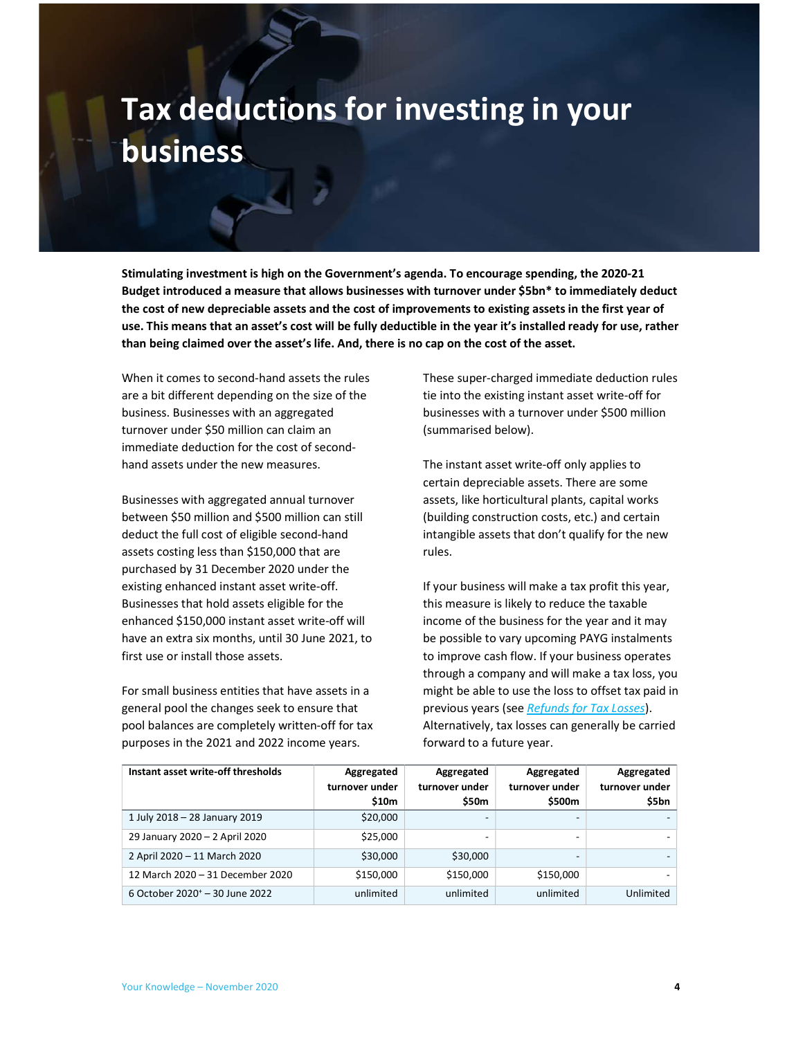## Tax deductions for investing in your business

Stimulating investment is high on the Government's agenda. To encourage spending, the 2020-21 Budget introduced a measure that allows businesses with turnover under \$5bn\* to immediately deduct the cost of new depreciable assets and the cost of improvements to existing assets in the first year of use. This means that an asset's cost will be fully deductible in the year it's installed ready for use, rather than being claimed over the asset's life. And, there is no cap on the cost of the asset.

When it comes to second-hand assets the rules are a bit different depending on the size of the business. Businesses with an aggregated turnover under \$50 million can claim an immediate deduction for the cost of secondhand assets under the new measures.

Businesses with aggregated annual turnover between \$50 million and \$500 million can still deduct the full cost of eligible second-hand assets costing less than \$150,000 that are purchased by 31 December 2020 under the existing enhanced instant asset write-off. Businesses that hold assets eligible for the enhanced \$150,000 instant asset write-off will have an extra six months, until 30 June 2021, to first use or install those assets.

For small business entities that have assets in a general pool the changes seek to ensure that pool balances are completely written-off for tax purposes in the 2021 and 2022 income years.

These super-charged immediate deduction rules tie into the existing instant asset write-off for businesses with a turnover under \$500 million (summarised below).

The instant asset write-off only applies to certain depreciable assets. There are some assets, like horticultural plants, capital works (building construction costs, etc.) and certain intangible assets that don't qualify for the new rules.

If your business will make a tax profit this year, this measure is likely to reduce the taxable income of the business for the year and it may be possible to vary upcoming PAYG instalments to improve cash flow. If your business operates through a company and will make a tax loss, you might be able to use the loss to offset tax paid in previous years (see Refunds for Tax Losses). Alternatively, tax losses can generally be carried forward to a future year.

| Instant asset write-off thresholds         | Aggregated<br>turnover under<br>\$10m | Aggregated<br>turnover under<br>\$50m | Aggregated<br>turnover under<br>\$500m | Aggregated<br>turnover under<br>\$5bn |
|--------------------------------------------|---------------------------------------|---------------------------------------|----------------------------------------|---------------------------------------|
| 1 July 2018 - 28 January 2019              | \$20,000                              | $\overline{\phantom{0}}$              |                                        |                                       |
| 29 January 2020 - 2 April 2020             | \$25,000                              | $\overline{\phantom{0}}$              |                                        |                                       |
| 2 April 2020 - 11 March 2020               | \$30,000                              | \$30,000                              |                                        |                                       |
| 12 March 2020 - 31 December 2020           | \$150,000                             | \$150,000                             | \$150,000                              |                                       |
| 6 October 2020 <sup>+</sup> - 30 June 2022 | unlimited                             | unlimited                             | unlimited                              | Unlimited                             |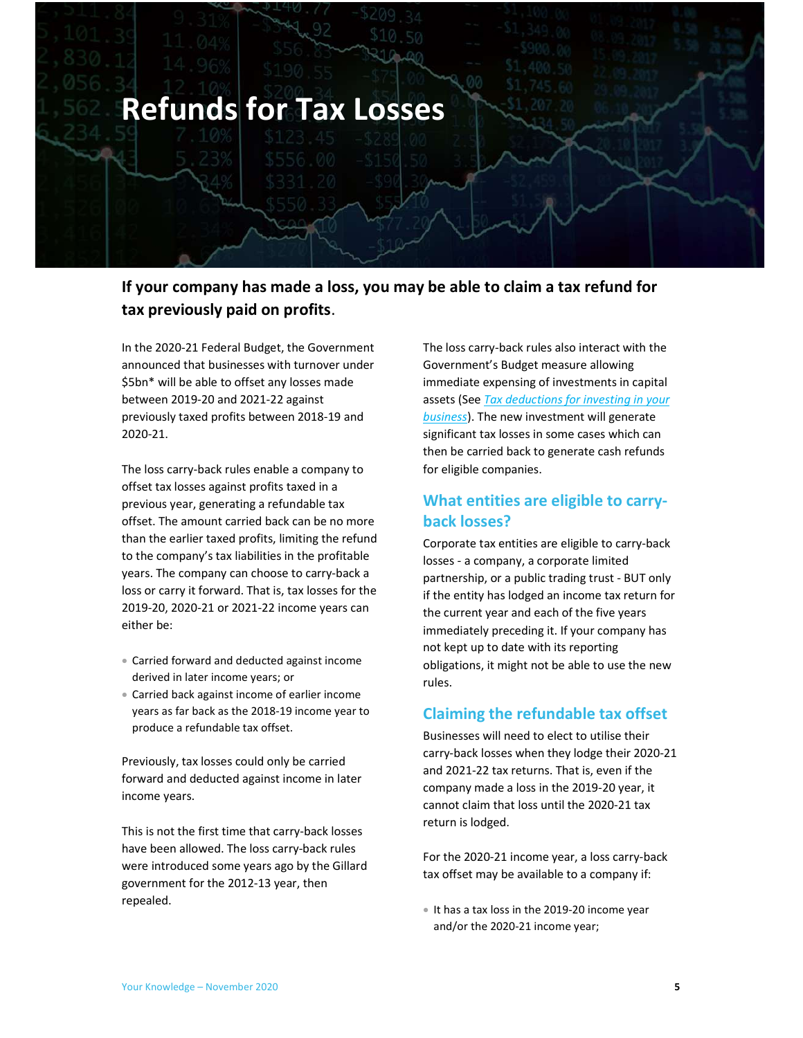

## If your company has made a loss, you may be able to claim a tax refund for tax previously paid on profits.

In the 2020-21 Federal Budget, the Government announced that businesses with turnover under \$5bn\* will be able to offset any losses made between 2019-20 and 2021-22 against previously taxed profits between 2018-19 and 2020-21.

The loss carry-back rules enable a company to offset tax losses against profits taxed in a previous year, generating a refundable tax offset. The amount carried back can be no more than the earlier taxed profits, limiting the refund to the company's tax liabilities in the profitable years. The company can choose to carry-back a loss or carry it forward. That is, tax losses for the 2019-20, 2020-21 or 2021-22 income years can either be:

- Carried forward and deducted against income derived in later income years; or
- Carried back against income of earlier income years as far back as the 2018-19 income year to produce a refundable tax offset.

Previously, tax losses could only be carried forward and deducted against income in later income years.

This is not the first time that carry-back losses have been allowed. The loss carry-back rules were introduced some years ago by the Gillard government for the 2012-13 year, then repealed.

The loss carry-back rules also interact with the Government's Budget measure allowing immediate expensing of investments in capital assets (See Tax deductions for investing in your business). The new investment will generate significant tax losses in some cases which can then be carried back to generate cash refunds for eligible companies.

## What entities are eligible to carryback losses?

Corporate tax entities are eligible to carry-back losses - a company, a corporate limited partnership, or a public trading trust - BUT only if the entity has lodged an income tax return for the current year and each of the five years immediately preceding it. If your company has not kept up to date with its reporting obligations, it might not be able to use the new rules.

### Claiming the refundable tax offset

Businesses will need to elect to utilise their carry-back losses when they lodge their 2020-21 and 2021-22 tax returns. That is, even if the company made a loss in the 2019-20 year, it cannot claim that loss until the 2020-21 tax return is lodged.

For the 2020-21 income year, a loss carry-back tax offset may be available to a company if:

 It has a tax loss in the 2019-20 income year and/or the 2020-21 income year;